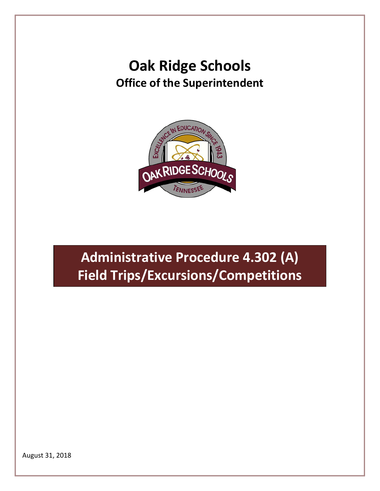# **Oak Ridge Schools Office of the Superintendent**



# **Administrative Procedure 4.302 (A) Field Trips/Excursions/Competitions**

August 31, 2018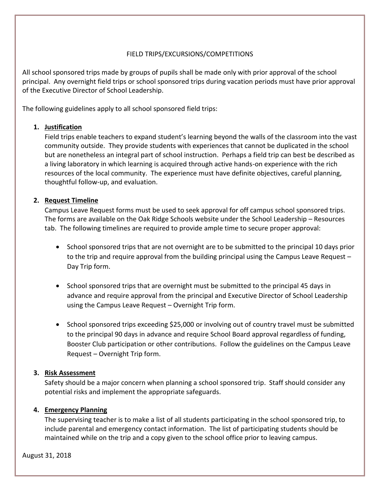# FIELD TRIPS/EXCURSIONS/COMPETITIONS

All school sponsored trips made by groups of pupils shall be made only with prior approval of the school principal. Any overnight field trips or school sponsored trips during vacation periods must have prior approval of the Executive Director of School Leadership.

The following guidelines apply to all school sponsored field trips:

# **1. Justification**

Field trips enable teachers to expand student's learning beyond the walls of the classroom into the vast community outside. They provide students with experiences that cannot be duplicated in the school but are nonetheless an integral part of school instruction. Perhaps a field trip can best be described as a living laboratory in which learning is acquired through active hands-on experience with the rich resources of the local community. The experience must have definite objectives, careful planning, thoughtful follow-up, and evaluation.

# **2. Request Timeline**

Campus Leave Request forms must be used to seek approval for off campus school sponsored trips. The forms are available on the Oak Ridge Schools website under the School Leadership – Resources tab. The following timelines are required to provide ample time to secure proper approval:

- School sponsored trips that are not overnight are to be submitted to the principal 10 days prior to the trip and require approval from the building principal using the Campus Leave Request – Day Trip form.
- School sponsored trips that are overnight must be submitted to the principal 45 days in advance and require approval from the principal and Executive Director of School Leadership using the Campus Leave Request – Overnight Trip form.
- School sponsored trips exceeding \$25,000 or involving out of country travel must be submitted to the principal 90 days in advance and require School Board approval regardless of funding, Booster Club participation or other contributions. Follow the guidelines on the Campus Leave Request – Overnight Trip form.

# **3. Risk Assessment**

Safety should be a major concern when planning a school sponsored trip. Staff should consider any potential risks and implement the appropriate safeguards.

# **4. Emergency Planning**

The supervising teacher is to make a list of all students participating in the school sponsored trip, to include parental and emergency contact information. The list of participating students should be maintained while on the trip and a copy given to the school office prior to leaving campus.

August 31, 2018